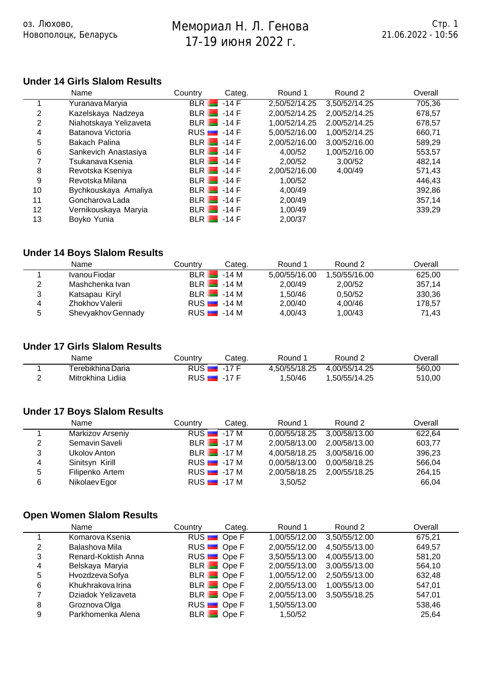17-19 2022 г.

# **Under 14 Girls Slalom Results**

оз. Люх $\alpha$ 

Новополоцк, Беларусь

|    | Name                   | Country      | Categ.       | Round 1       | Round 2       | Overall |
|----|------------------------|--------------|--------------|---------------|---------------|---------|
|    | Yuranava Maryia        | BLR          | $-14$ F      | 2,50/52/14.25 | 3,50/52/14.25 | 705,36  |
| 2  | Kazelskaya Nadzeya     |              | $BLR$ $-14F$ | 2,00/52/14.25 | 2,00/52/14.25 | 678,57  |
| 2  | Niahotskaya Yelizaveta |              | $BLR$ $-14F$ | 1,00/52/14.25 | 2,00/52/14.25 | 678,57  |
| 4  | Batanova Victoria      | $RUS$ $-14F$ |              | 5,00/52/16.00 | 1,00/52/14.25 | 660,71  |
| 5  | Bakach Palina          |              | $BLR$ $-14F$ | 2,00/52/16.00 | 3,00/52/16.00 | 589,29  |
| 6  | Sankevich Anastasiya   |              | $BLR$ $-14F$ | 4.00/52       | 1,00/52/16.00 | 553,57  |
|    | Tsukanava Ksenia       |              | $BLR$ $-14F$ | 2,00/52       | 3.00/52       | 482.14  |
| 8  | Revotska Kseniya       | $BLR$ $-14F$ |              | 2,00/52/16.00 | 4,00/49       | 571,43  |
| 9  | Revotska Milana        |              | $BLR$ $-14F$ | 1,00/52       |               | 446,43  |
| 10 | Bychkouskaya Amaliya   | $BLR$ $-14F$ |              | 4,00/49       |               | 392,86  |
| 11 | Goncharova Lada        | $BLR$ $-14F$ |              | 2,00/49       |               | 357,14  |
| 12 | Vernikouskaya Maryia   | $BLR$ $-14F$ |              | 1,00/49       |               | 339,29  |
| 13 | Boyko Yunia            | $BLR$ $-14F$ |              | 2,00/37       |               |         |

Мемориал Н. Л. Генова

## **Under 14 Boys Slalom Results**

|   | Name               | Countrv    | Categ.       | Round 1       | Round 2       | Overall |
|---|--------------------|------------|--------------|---------------|---------------|---------|
|   | Ivanou Fiodar      | <b>BLR</b> | -14 M        | 5.00/55/16.00 | 1.50/55/16.00 | 625.00  |
| 2 | Mashchenka Ivan    |            | $BLR$ $-14M$ | 2.00/49       | 2.00/52       | 357.14  |
| 3 | Katsapau Kiryl     |            | $BLR$ $-14M$ | 1.50/46       | 0.50/52       | 330.36  |
| 4 | Zhokhov Valerii    |            | $RUS$ $-14M$ | 2.00/40       | 4.00/46       | 178,57  |
| 5 | Shevyakhov Gennady |            | $RUS$ $-14M$ | 4.00/43       | 1.00/43       | 71.43   |

## **Under 17 Girls Slalom Results**

| Name              | こountry      | Categ.  | Round         | Round 2       | )verall |
|-------------------|--------------|---------|---------------|---------------|---------|
| Ferebikhina Daria | <b>RUS</b> ■ | $-17$ F | 4.50/55/18.25 | 4.00/55/14.25 | 560,00  |
| Mitrokhina Lidiia | RUS          | -17 F   | .50/46        | 1.50/55/14.25 | 510,00  |

## **Under 17 Boys Slalom Results**

|                | Name             | Country      | Categ.       | Round 1                     | Round 2                     | Overall |
|----------------|------------------|--------------|--------------|-----------------------------|-----------------------------|---------|
|                | Markizov Arseniy | $RUS$ $-17M$ |              |                             | 0,00/55/18.25 3,00/58/13.00 | 622,64  |
| 2              | Semavin Saveli   |              | $BLR$ $-17M$ | 2.00/58/13.00               | 2,00/58/13.00               | 603.77  |
| 3              | Ukolov Anton     |              | $BLR$ $-17M$ |                             | 4.00/58/18.25 3.00/58/16.00 | 396,23  |
| $\overline{4}$ | Sinitsyn Kirill  | $RUS$ $-17M$ |              | 0.00/58/13.00               | 0.00/58/18.25               | 566,04  |
| 5              | Filipenko Artem  | $RUS$ -17 M  |              | 2,00/58/18.25 2,00/55/18.25 |                             | 264,15  |
| 6              | Nikolaev Egor    | $RUS$ $-17M$ |              | 3,50/52                     |                             | 66,04   |

# **Open Women Slalom Results**

|   | Name                | Country | Categ.             | Round 1       | Round 2       | Overall |
|---|---------------------|---------|--------------------|---------------|---------------|---------|
|   | Komarova Ksenia     |         | RUS <b>D</b> Ope F | 1,00/55/12.00 | 3,50/55/12.00 | 675,21  |
| 2 | Balashova Mila      |         | RUS <b>D</b> Ope F | 2,00/55/12.00 | 4,50/55/13.00 | 649,57  |
| 3 | Renard-Koktish Anna |         | RUS <b>D</b> Ope F | 3,50/55/13.00 | 4,00/55/13.00 | 581,20  |
| 4 | Belskaya Maryia     |         | BLR Ope F          | 2,00/55/13.00 | 3,00/55/13.00 | 564,10  |
| 5 | Hvozdzeva Sofya     |         | BLR Ope F          | 1,00/55/12.00 | 2,50/55/13.00 | 632,48  |
| 6 | Khukhrakova Irina   |         | BLR Ope F          | 2,00/55/13.00 | 1,00/55/13.00 | 547,01  |
|   | Dziadok Yelizaveta  |         | BLR Ope F          | 2,00/55/13.00 | 3,50/55/18.25 | 547,01  |
| 8 | Groznova Olga       |         | RUS <b>D</b> Ope F | 1,50/55/13.00 |               | 538,46  |
| 9 | Parkhomenka Alena   |         | BLR Ope F          | 1,50/52       |               | 25,64   |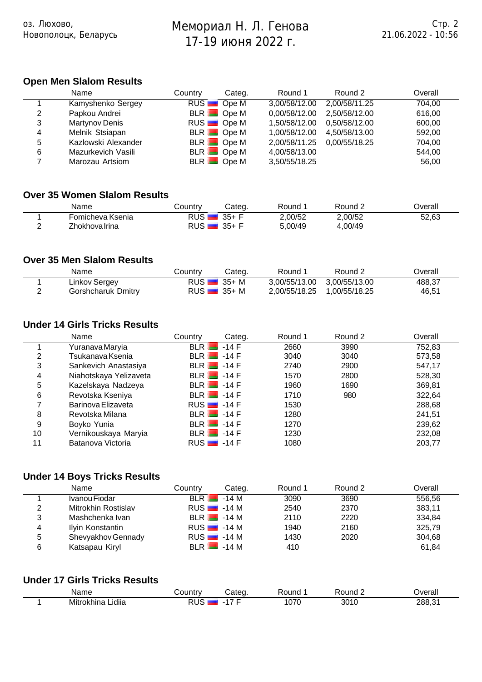Мемориал Н. Л. Генова

# **Open Men Slalom Results**

Новополоцк, Беларусь

оз. Люхово,

|   | Name                | Countrv | Categ.             | Round 1       | Round 2       | Overall |
|---|---------------------|---------|--------------------|---------------|---------------|---------|
|   | Kamyshenko Sergey   |         | RUS <b>D</b> Ope M | 3,00/58/12.00 | 2,00/58/11.25 | 704.00  |
| 2 | Papkou Andrei       |         | BLR Ope M          | 0,00/58/12.00 | 2,50/58/12.00 | 616.00  |
| 3 | Martynov Denis      |         | RUS <b>D</b> Ope M | 1.50/58/12.00 | 0.50/58/12.00 | 600,00  |
| 4 | Melnik Stsiapan     |         | BLR Ope M          | 1,00/58/12.00 | 4.50/58/13.00 | 592.00  |
| 5 | Kazlowski Alexander |         | BLR Ope M          | 2,00/58/11.25 | 0.00/55/18.25 | 704.00  |
| 6 | Mazurkevich Vasili  |         | BLR Ope M          | 4,00/58/13.00 |               | 544.00  |
|   | Marozau Artsiom     |         | BLR Ope M          | 3,50/55/18.25 |               | 56.00   |

## **Over 35 Women Slalom Results**

| Name             | こountry    | Cateɑ. | Round   | Round.  | )verall |
|------------------|------------|--------|---------|---------|---------|
| Fomicheva Ksenia | RUS.       | 35+    | 2,00/52 | 2.00/52 | 52,63   |
| Zhokhova Irina   | <b>RUS</b> | 35+    | 5,00/49 | 4,00/49 |         |

#### **Over 35 Men Slalom Results**

| Name               | Country | Categ.        | Round 1                     | Round 2 | Overall |
|--------------------|---------|---------------|-----------------------------|---------|---------|
| Linkov Sergey      |         | $RUS$ $35+ M$ | 3,00/55/13.00 3,00/55/13.00 |         | 488.37  |
| Gorshcharuk Dmitry |         | $RUS$ 35+ M   | 2,00/55/18.25 1,00/55/18.25 |         | 46,51   |

### **Under 14 Girls Tricks Results**

|    | Name                   | Country      | Categ. | Round 1 | Round 2 | Overall |
|----|------------------------|--------------|--------|---------|---------|---------|
|    | Yuranava Maryia        | $BLR$ -14 F  |        | 2660    | 3990    | 752,83  |
| 2  | Tsukanava Ksenia       | $BLR$ $-14F$ |        | 3040    | 3040    | 573,58  |
| 3  | Sankevich Anastasiya   | $BLR$ $-14F$ |        | 2740    | 2900    | 547,17  |
| 4  | Niahotskaya Yelizaveta | $BLR$ $-14F$ |        | 1570    | 2800    | 528,30  |
| 5  | Kazelskaya Nadzeya     | $BLR$ $-14F$ |        | 1960    | 1690    | 369,81  |
| 6  | Revotska Kseniya       | $BLR$ $-14F$ |        | 1710    | 980     | 322,64  |
| 7  | Barinova Elizaveta     | $RUS$ $-14F$ |        | 1530    |         | 288,68  |
| 8  | Revotska Milana        | $BLR$ $-14F$ |        | 1280    |         | 241,51  |
| 9  | Boyko Yunia            | $BLR$ $-14F$ |        | 1270    |         | 239,62  |
| 10 | Vernikouskaya Maryia   | $BLR$ $-14F$ |        | 1230    |         | 232,08  |
| 11 | Batanova Victoria      | $RUS$ $-14F$ |        | 1080    |         | 203,77  |

## **Under 14 Boys Tricks Results**

|   | Name                | Country | Categ.        | Round 1 | Round 2 | Overall |
|---|---------------------|---------|---------------|---------|---------|---------|
|   | Ivanou Fiodar       |         | $BLR$ $-14M$  | 3090    | 3690    | 556.56  |
| 2 | Mitrokhin Rostislav |         | $RUS$ $-14M$  | 2540    | 2370    | 383,11  |
| 3 | Mashchenka Ivan     |         | $BLR$ $-14M$  | 2110    | 2220    | 334,84  |
| 4 | Ilyin Konstantin    |         | $RUS$ $-14M$  | 1940    | 2160    | 325,79  |
| 5 | Shevyakhov Gennady  |         | $RUS$ $-14$ M | 1430    | 2020    | 304,68  |
| 6 | Katsapau Kiryl      |         | $BLR$ $-14M$  | 410     |         | 61.84   |

#### **Under 17 Girls Tricks Results**

| Name                    | ัวuntrv    | $n+n$ | touno! | 'ound | <b>T</b> verall |
|-------------------------|------------|-------|--------|-------|-----------------|
| <br>Mitrokhina<br>idiia | $\epsilon$ |       | $\sim$ | 3010  | 288.31          |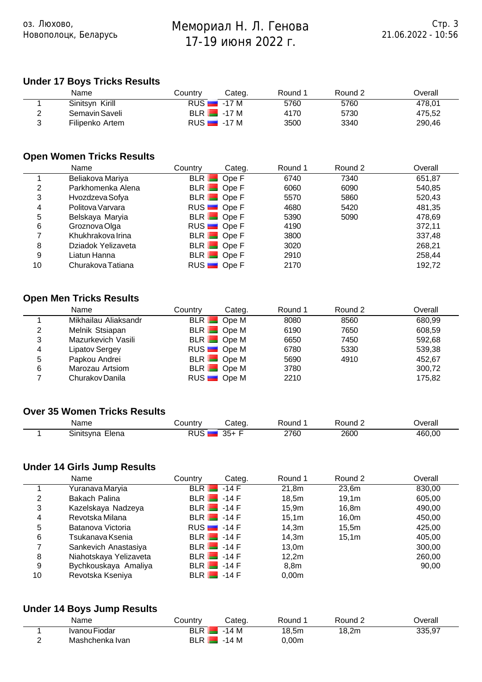Мемориал Н. Л. Генова

# **Under 17 Boys Tricks Results**

оз. Люхово,

Новополоцк, Беларусь

|   | Name            | Countrv | Cateɑ.                   | Round 1 | Round 2 | ⊃verall |
|---|-----------------|---------|--------------------------|---------|---------|---------|
|   | Sinitsyn Kirill |         | $RUS$ $-17M$             | 5760    | 5760    | 478.01  |
| 2 | Semavin Saveli  |         | $BLR$ $-17M$             | 4170    | 5730    | 475.52  |
|   | Filipenko Artem |         | RUS $\blacksquare$ -17 M | 3500    | 3340    | 290,46  |

## **Open Women Tricks Results**

|    | Name               | Country | Categ.             | Round 1 | Round 2 | Overall |
|----|--------------------|---------|--------------------|---------|---------|---------|
|    | Beliakova Mariya   |         | BLR Ope F          | 6740    | 7340    | 651,87  |
| 2  | Parkhomenka Alena  |         | BLR Ope F          | 6060    | 6090    | 540,85  |
| 3  | Hvozdzeva Sofya    |         | BLR Ope F          | 5570    | 5860    | 520,43  |
| 4  | Politova Varvara   |         | RUS <b>D</b> Ope F | 4680    | 5420    | 481,35  |
| 5  | Belskaya Maryia    |         | BLR Ope F          | 5390    | 5090    | 478,69  |
| 6  | Groznova Olga      |         | RUS <b>D</b> Ope F | 4190    |         | 372,11  |
|    | Khukhrakova Irina  |         | BLR Ope F          | 3800    |         | 337,48  |
| 8  | Dziadok Yelizaveta |         | $BLR$ Ope F        | 3020    |         | 268,21  |
| 9  | Liatun Hanna       |         | BLR Ope F          | 2910    |         | 258,44  |
| 10 | Churakova Tatiana  |         | RUS <b>D</b> Ope F | 2170    |         | 192.72  |

## **Open Men Tricks Results**

|   | Name                 | Countrv | Categ.             | Round 1 | Round 2 | Overall |
|---|----------------------|---------|--------------------|---------|---------|---------|
|   | Mikhailau Aliaksandr |         | BLR Ope M          | 8080    | 8560    | 680,99  |
| 2 | Melnik Stsiapan      |         | BLR Ope M          | 6190    | 7650    | 608,59  |
| 3 | Mazurkevich Vasili   |         | BLR Ope M          | 6650    | 7450    | 592,68  |
| 4 | Lipatov Sergey       |         | RUS <b>D</b> Ope M | 6780    | 5330    | 539,38  |
| 5 | Papkou Andrei        |         | BLR Ope M          | 5690    | 4910    | 452,67  |
| 6 | Marozau Artsiom      |         | BLR Ope M          | 3780    |         | 300,72  |
|   | Churakov Danila      |         | RUS <b>D</b> Ope M | 2210    |         | 175,82  |

#### **Over 35 Women Tricks Results**

| Name                      | ວuntrv | ;ateα       | Round | ound? | ס∨erall |
|---------------------------|--------|-------------|-------|-------|---------|
| - -<br>-lena<br>Sinitsvna | . .    | $35 -$<br>ື | 2760  | 2600  | 460,00  |

## **Under 14 Girls Jump Results**

|    | Name                   | Country | Categ.       | Round 1 | Round 2           | Overall |
|----|------------------------|---------|--------------|---------|-------------------|---------|
|    | Yuranava Maryia        |         | $BLR$ $-14F$ | 21,8m   | 23,6m             | 830,00  |
| 2  | Bakach Palina          |         | $BLR$ $-14F$ | 18.5m   | 19.1m             | 605,00  |
| 3  | Kazelskaya Nadzeya     |         | $BLR$ $-14F$ | 15.9m   | 16,8m             | 490,00  |
| 4  | Revotska Milana        |         | $BLR$ $-14F$ | 15,1m   | 16,0m             | 450,00  |
| 5  | Batanova Victoria      |         | $RUS$ $-14F$ | 14,3m   | 15,5m             | 425,00  |
| 6  | Tsukanava Ksenia       |         | $BLR$ $-14F$ | 14.3m   | 15.1 <sub>m</sub> | 405,00  |
|    | Sankevich Anastasiya   |         | $BLR$ $-14F$ | 13,0m   |                   | 300,00  |
| 8  | Niahotskaya Yelizaveta |         | $BLR$ $-14F$ | 12.2m   |                   | 260,00  |
| 9  | Bychkouskaya Amaliya   |         | $BLR$ $-14F$ | 8,8m    |                   | 90,00   |
| 10 | Revotska Kseniya       |         | $BLR$ $-14F$ | 0,00m   |                   |         |

## **Under 14 Boys Jump Results**

|   | Name            | Country | Categ. | Round | Round ∠ | ⊃verall |
|---|-----------------|---------|--------|-------|---------|---------|
|   | Ivanou Fiodar   | BIR     | -14 M  | 18,5m | 18,2m   | 335,97  |
| - | Mashchenka Ivan | BLR I   | -14 M  | 0,00m |         |         |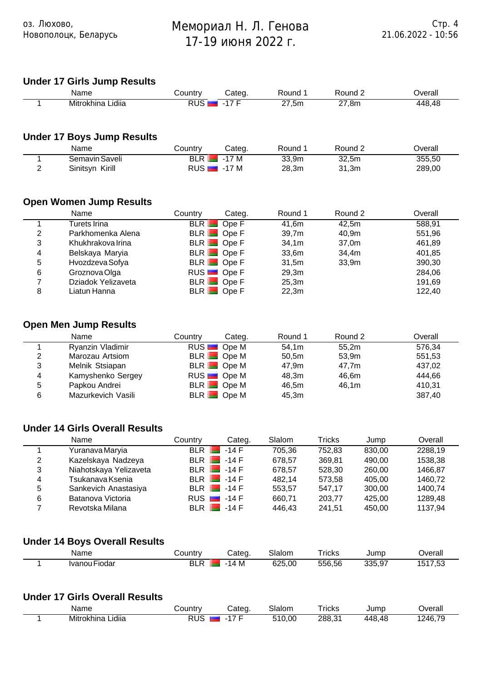# **Under 17 Girls Jump Results**

оз. Люхово,

Новополоцк, Беларусь

| Name                     | `ountry     | `ateo                    | ound:            | `ound-             | <b>T</b>         |
|--------------------------|-------------|--------------------------|------------------|--------------------|------------------|
| <br>Mitrokhina<br>Lıdııa | <b>DIIC</b> | $\overline{\phantom{a}}$ | .<br>7.5m<br>- 1 | $\sim$<br>.8m<br>- | 448,<br>4≻<br>≖∽ |

## **Under 17 Boys Jump Results**

| Name               | <b>⊜ountr∨</b> | Categ.       | Round | Round ∠ | ⊃verall |
|--------------------|----------------|--------------|-------|---------|---------|
| Semavin Saveli     | <b>BLR L</b>   | `7 M<br>- -  | 33,9m | 32,5m   | 355,50  |
| Kirill<br>Sinitsyn | RUS I          | ิ 7 M<br>- - | 28.3m | 31.3m   | 289,00  |

## **Open Women Jump Results**

|   | Name               | Country | Categ.             | Round 1 | Round 2 | Overall |
|---|--------------------|---------|--------------------|---------|---------|---------|
|   | Turets Irina       |         | BLR Ope F          | 41.6m   | 42.5m   | 588,91  |
| 2 | Parkhomenka Alena  |         | BLR Ope F          | 39.7m   | 40.9m   | 551,96  |
| 3 | Khukhrakova Irina  |         | BLR Ope F          | 34.1m   | 37,0m   | 461,89  |
| 4 | Belskaya Maryia    |         | BLR Ope F          | 33,6m   | 34,4m   | 401,85  |
| 5 | Hvozdzeva Sofya    |         | BLR Ope F          | 31,5m   | 33,9m   | 390,30  |
| 6 | Groznova Olga      |         | RUS <b>D</b> Ope F | 29.3m   |         | 284,06  |
|   | Dziadok Yelizaveta |         | $BLR$ Ope F        | 25,3m   |         | 191,69  |
| 8 | Liatun Hanna       |         | BLR Ope F          | 22,3m   |         | 122,40  |

## **Open Men Jump Results**

|   | Name               | Country | Categ.             | Round 1 | Round 2 | Overall |
|---|--------------------|---------|--------------------|---------|---------|---------|
|   | Ryanzin Vladimir   |         | RUS <b>D</b> Ope M | 54.1m   | 55.2m   | 576.34  |
| 2 | Marozau Artsiom    |         | BLR Ope M          | 50,5m   | 53,9m   | 551,53  |
| 3 | Melnik Stsiapan    |         | BLR Ope M          | 47.9m   | 47.7m   | 437,02  |
| 4 | Kamyshenko Sergey  |         | RUS <b>D</b> Ope M | 48.3m   | 46.6m   | 444.66  |
| 5 | Papkou Andrei      |         | BLR Ope M          | 46.5m   | 46.1m   | 410,31  |
| 6 | Mazurkevich Vasili |         | BLR Ope M          | 45,3m   |         | 387,40  |

#### **Under 14 Girls Overall Results**

|   | Name                   | Country              | Categ.  | Slalom | Tricks | Jump   | Overall |
|---|------------------------|----------------------|---------|--------|--------|--------|---------|
|   | Yuranava Maryia        | <b>BLR</b>           | $-14$ F | 705.36 | 752.83 | 830,00 | 2288,19 |
| 2 | Kazelskaya Nadzeya     | BLR <b>I</b>         | $-14F$  | 678.57 | 369,81 | 490.00 | 1538,38 |
| 3 | Niahotskaya Yelizaveta | BLR <b>E</b>         | $-14$ F | 678.57 | 528,30 | 260,00 | 1466.87 |
| 4 | Tsukanava Ksenia       | $BIR$ $\blacksquare$ | $-14$ F | 482.14 | 573.58 | 405.00 | 1460.72 |
| 5 | Sankevich Anastasiya   | BLR <b>I</b>         | $-14$ F | 553,57 | 547.17 | 300,00 | 1400.74 |
| 6 | Batanova Victoria      | RUS                  | $-14$ F | 660.71 | 203,77 | 425.00 | 1289.48 |
|   | Revotska Milana        | BLR                  | $-14$ F | 446.43 | 241.51 | 450.00 | 1137.94 |

## **Under 14 Boys Overall Results**

| Name                            | ⇒ountr | 'ateα  | lom<br>$\overline{ }$<br>ыан<br>_____ | ricks<br>____ | Jumr           | ס∨erall                            |
|---------------------------------|--------|--------|---------------------------------------|---------------|----------------|------------------------------------|
| --<br>Fiodar<br>Ivano<br>э<br>. | וח     | M<br>. | ~~~<br>$\sim$<br>UU.                  | - -<br>556.56 | 00 F<br>$\sim$ | $\ddot{\phantom{1}}$<br>۰. د<br>__ |

#### **Under 17 Girls Overall Results**

| Name                     | تountr∟                  | ateα | Slalom | ⊺ricks                             | Jump      | )verall                  |
|--------------------------|--------------------------|------|--------|------------------------------------|-----------|--------------------------|
| <br>Mitrokhina<br>Lidiia | <b>DUO</b><br>. .<br>70C | - 1  | ,00    | 288.31<br>$\overline{\phantom{a}}$ | 4£<br>448 | 1 <i>74</i> 6.70<br>┱ ฉ. |